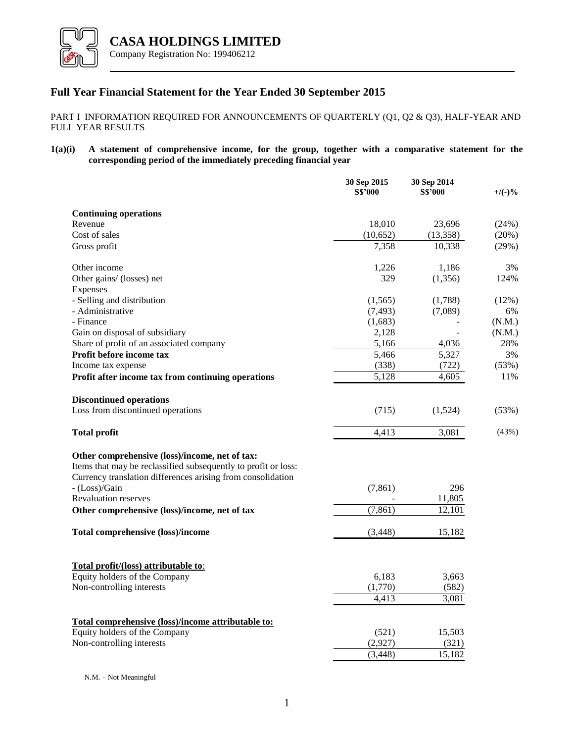

# **Full Year Financial Statement for the Year Ended 30 September 2015**

## PART I INFORMATION REQUIRED FOR ANNOUNCEMENTS OF QUARTERLY (Q1, Q2 & Q3), HALF-YEAR AND FULL YEAR RESULTS

**1(a)(i) A statement of comprehensive income, for the group, together with a comparative statement for the corresponding period of the immediately preceding financial year**

|                                                                                                                                                                                 | 30 Sep 2015<br><b>S\$'000</b> | 30 Sep 2014<br><b>S\$'000</b> | $+$ /(-)% |
|---------------------------------------------------------------------------------------------------------------------------------------------------------------------------------|-------------------------------|-------------------------------|-----------|
| <b>Continuing operations</b>                                                                                                                                                    |                               |                               |           |
| Revenue                                                                                                                                                                         | 18,010                        | 23,696                        | (24%)     |
| Cost of sales                                                                                                                                                                   | (10,652)                      | (13, 358)                     | (20%)     |
| Gross profit                                                                                                                                                                    | 7,358                         | 10,338                        | (29%)     |
| Other income                                                                                                                                                                    | 1,226                         | 1,186                         | 3%        |
| Other gains/ (losses) net<br>Expenses                                                                                                                                           | 329                           | (1,356)                       | 124%      |
| - Selling and distribution                                                                                                                                                      | (1,565)                       | (1,788)                       | $(12\%)$  |
| - Administrative                                                                                                                                                                | (7, 493)                      | (7,089)                       | 6%        |
| - Finance                                                                                                                                                                       | (1,683)                       |                               | (N.M.)    |
| Gain on disposal of subsidiary                                                                                                                                                  | 2,128                         |                               | (N.M.)    |
| Share of profit of an associated company                                                                                                                                        | 5,166                         | 4,036                         | 28%       |
| Profit before income tax                                                                                                                                                        | 5,466                         | 5,327                         | 3%        |
| Income tax expense                                                                                                                                                              | (338)                         | (722)                         | (53%)     |
| Profit after income tax from continuing operations                                                                                                                              | 5,128                         | 4.605                         | 11%       |
| <b>Discontinued operations</b>                                                                                                                                                  |                               |                               |           |
| Loss from discontinued operations                                                                                                                                               | (715)                         | (1,524)                       | (53%)     |
| <b>Total profit</b>                                                                                                                                                             | 4,413                         | 3,081                         | (43%)     |
| Other comprehensive (loss)/income, net of tax:<br>Items that may be reclassified subsequently to profit or loss:<br>Currency translation differences arising from consolidation |                               |                               |           |
| - (Loss)/Gain                                                                                                                                                                   | (7, 861)                      | 296                           |           |
| <b>Revaluation reserves</b>                                                                                                                                                     |                               | 11,805                        |           |
| Other comprehensive (loss)/income, net of tax                                                                                                                                   | (7, 861)                      | 12,101                        |           |
| <b>Total comprehensive (loss)/income</b>                                                                                                                                        | (3, 448)                      | 15,182                        |           |
| Total profit/(loss) attributable to:                                                                                                                                            |                               |                               |           |
| Equity holders of the Company                                                                                                                                                   | 6,183                         | 3,663                         |           |
| Non-controlling interests                                                                                                                                                       | (1,770)                       | (582)                         |           |
|                                                                                                                                                                                 | 4,413                         | 3,081                         |           |
| Total comprehensive (loss)/income attributable to:                                                                                                                              |                               |                               |           |
| Equity holders of the Company                                                                                                                                                   | (521)                         | 15,503                        |           |
| Non-controlling interests                                                                                                                                                       | (2,927)                       | (321)                         |           |
|                                                                                                                                                                                 | (3, 448)                      | 15,182                        |           |

N.M. – Not Meaningful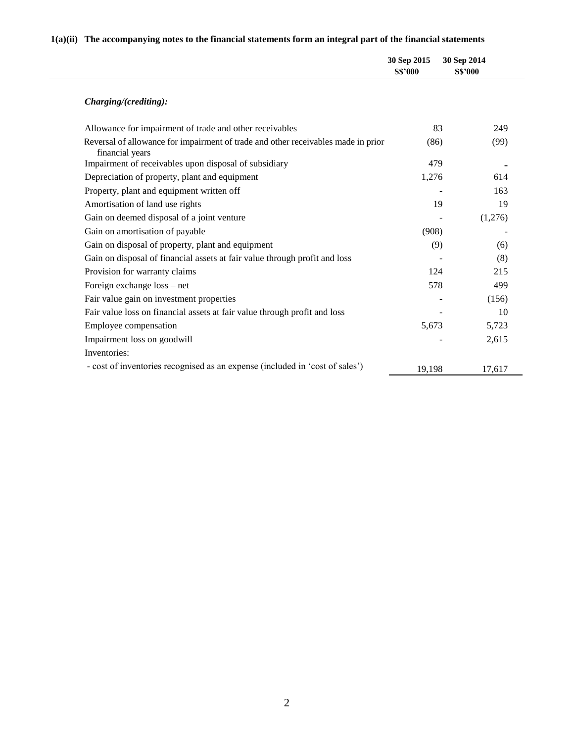# **1(a)(ii) The accompanying notes to the financial statements form an integral part of the financial statements**

|                                                                                                      | 30 Sep 2015<br><b>S\$'000</b> | 30 Sep 2014<br><b>S\$'000</b> |         |
|------------------------------------------------------------------------------------------------------|-------------------------------|-------------------------------|---------|
| Charging/(crediting):                                                                                |                               |                               |         |
| Allowance for impairment of trade and other receivables                                              | 83                            |                               | 249     |
| Reversal of allowance for impairment of trade and other receivables made in prior<br>financial years | (86)                          |                               | (99)    |
| Impairment of receivables upon disposal of subsidiary                                                | 479                           |                               |         |
| Depreciation of property, plant and equipment                                                        | 1,276                         |                               | 614     |
| Property, plant and equipment written off                                                            |                               |                               | 163     |
| Amortisation of land use rights                                                                      | 19                            |                               | 19      |
| Gain on deemed disposal of a joint venture                                                           |                               |                               | (1,276) |
| Gain on amortisation of payable                                                                      | (908)                         |                               |         |
| Gain on disposal of property, plant and equipment                                                    | (9)                           |                               | (6)     |
| Gain on disposal of financial assets at fair value through profit and loss                           |                               |                               | (8)     |
| Provision for warranty claims                                                                        | 124                           |                               | 215     |
| Foreign exchange loss – net                                                                          | 578                           |                               | 499     |
| Fair value gain on investment properties                                                             |                               |                               | (156)   |
| Fair value loss on financial assets at fair value through profit and loss                            |                               |                               | 10      |
| Employee compensation                                                                                | 5,673                         |                               | 5,723   |
| Impairment loss on goodwill                                                                          |                               |                               | 2,615   |
| Inventories:                                                                                         |                               |                               |         |
| - cost of inventories recognised as an expense (included in 'cost of sales')                         | 19,198                        |                               | 17,617  |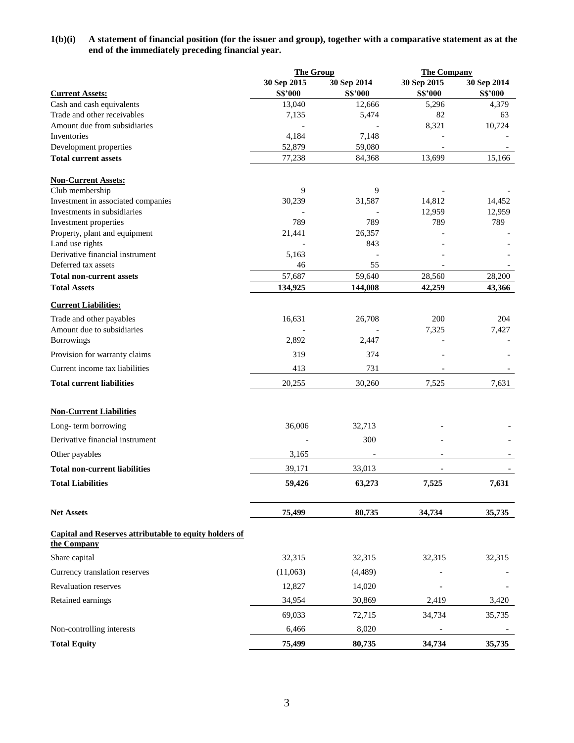## **1(b)(i) A statement of financial position (for the issuer and group), together with a comparative statement as at the end of the immediately preceding financial year.**

|                                                                              | <b>The Group</b> |                   | <b>The Company</b> |                  |
|------------------------------------------------------------------------------|------------------|-------------------|--------------------|------------------|
|                                                                              | 30 Sep 2015      | 30 Sep 2014       | 30 Sep 2015        | 30 Sep 2014      |
| <b>Current Assets:</b>                                                       | S\$'000          | <b>S\$'000</b>    | <b>S\$'000</b>     | <b>S\$'000</b>   |
| Cash and cash equivalents                                                    | 13,040           | 12,666            | 5,296              | 4,379            |
| Trade and other receivables                                                  | 7,135            | 5,474             | 82                 | 63               |
| Amount due from subsidiaries<br>Inventories                                  |                  |                   | 8,321              | 10,724           |
| Development properties                                                       | 4,184<br>52,879  | 7,148<br>59,080   |                    |                  |
| <b>Total current assets</b>                                                  | 77,238           | 84,368            | 13,699             | 15,166           |
| <b>Non-Current Assets:</b>                                                   |                  |                   |                    |                  |
| Club membership                                                              | 9                | 9                 |                    |                  |
| Investment in associated companies                                           | 30,239           | 31,587            | 14,812             | 14,452           |
| Investments in subsidiaries                                                  |                  |                   | 12,959             | 12,959           |
| Investment properties                                                        | 789              | 789               | 789                | 789              |
| Property, plant and equipment                                                | 21,441           | 26,357            |                    |                  |
| Land use rights                                                              |                  | 843               |                    |                  |
| Derivative financial instrument                                              | 5,163            |                   |                    |                  |
| Deferred tax assets                                                          | 46<br>57,687     | 55                |                    |                  |
| <b>Total non-current assets</b><br><b>Total Assets</b>                       | 134,925          | 59,640<br>144,008 | 28,560<br>42,259   | 28,200<br>43,366 |
| <b>Current Liabilities:</b>                                                  |                  |                   |                    |                  |
| Trade and other payables                                                     | 16,631           | 26,708            | 200                | 204              |
| Amount due to subsidiaries                                                   |                  |                   | 7,325              | 7,427            |
| Borrowings                                                                   | 2,892            | 2,447             |                    |                  |
| Provision for warranty claims                                                | 319              | 374               |                    |                  |
| Current income tax liabilities                                               | 413              | 731               |                    |                  |
| <b>Total current liabilities</b>                                             | 20,255           | 30,260            | 7,525              | 7,631            |
| <b>Non-Current Liabilities</b>                                               |                  |                   |                    |                  |
| Long-term borrowing                                                          | 36,006           | 32,713            |                    |                  |
| Derivative financial instrument                                              |                  | 300               |                    |                  |
| Other payables                                                               | 3,165            |                   |                    |                  |
| <b>Total non-current liabilities</b>                                         | 39,171           | 33,013            |                    |                  |
| <b>Total Liabilities</b>                                                     | 59,426           | 63,273            | 7,525              | 7,631            |
|                                                                              |                  |                   |                    |                  |
| <b>Net Assets</b>                                                            | 75,499           | 80,735            | 34,734             | 35,735           |
| <b>Capital and Reserves attributable to equity holders of</b><br>the Company |                  |                   |                    |                  |
| Share capital                                                                | 32,315           | 32,315            | 32,315             | 32,315           |
| Currency translation reserves                                                | (11,063)         | (4,489)           |                    |                  |
| <b>Revaluation reserves</b>                                                  | 12,827           | 14,020            |                    |                  |
| Retained earnings                                                            | 34,954           | 30,869            | 2,419              | 3,420            |
|                                                                              | 69,033           | 72,715            | 34,734             | 35,735           |
| Non-controlling interests                                                    | 6,466            | 8,020             |                    |                  |
| <b>Total Equity</b>                                                          | 75,499           | 80,735            | 34,734             | 35,735           |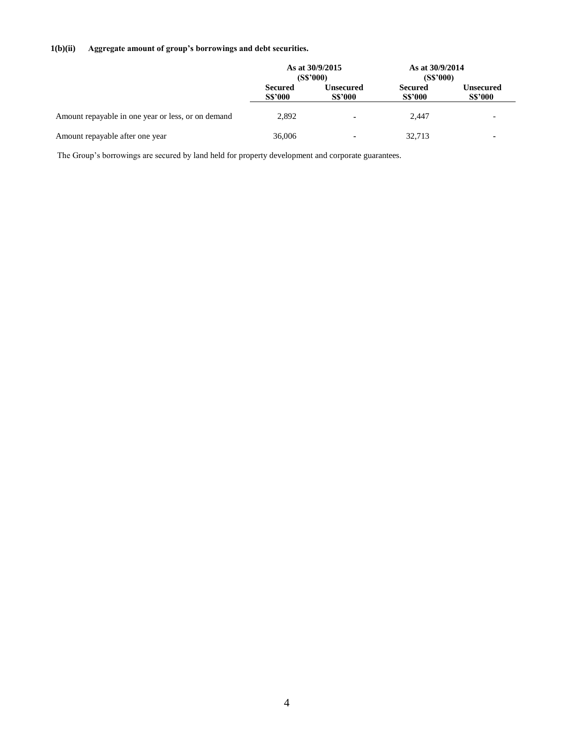## **1(b)(ii) Aggregate amount of group's borrowings and debt securities.**

|                                                    | As at 30/9/2015<br>(S\$'000)     |                                    | As at 30/9/2014<br>(S\$'000)     |                                    |
|----------------------------------------------------|----------------------------------|------------------------------------|----------------------------------|------------------------------------|
|                                                    | <b>Secured</b><br><b>S\$'000</b> | <b>Unsecured</b><br><b>S\$'000</b> | <b>Secured</b><br><b>S\$'000</b> | <b>Unsecured</b><br><b>S\$'000</b> |
| Amount repayable in one year or less, or on demand | 2,892                            | $\blacksquare$                     | 2.447                            | -                                  |
| Amount repayable after one year                    | 36,006                           | ۰                                  | 32,713                           |                                    |

The Group's borrowings are secured by land held for property development and corporate guarantees.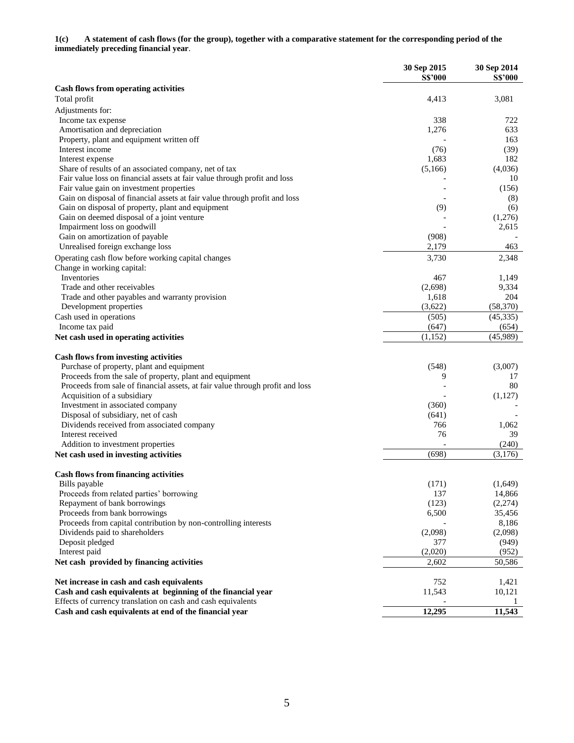**1(c) A statement of cash flows (for the group), together with a comparative statement for the corresponding period of the immediately preceding financial year**.

|                                                                               | 30 Sep 2015    | 30 Sep 2014    |
|-------------------------------------------------------------------------------|----------------|----------------|
|                                                                               | <b>S\$'000</b> | <b>S\$'000</b> |
| <b>Cash flows from operating activities</b>                                   |                |                |
| Total profit                                                                  | 4,413          | 3,081          |
| Adjustments for:                                                              |                |                |
| Income tax expense                                                            | 338            | 722            |
| Amortisation and depreciation                                                 | 1,276          | 633            |
| Property, plant and equipment written off<br>Interest income                  | (76)           | 163            |
|                                                                               | 1,683          | (39)<br>182    |
| Interest expense<br>Share of results of an associated company, net of tax     | (5,166)        | (4,036)        |
| Fair value loss on financial assets at fair value through profit and loss     |                | 10             |
| Fair value gain on investment properties                                      |                | (156)          |
| Gain on disposal of financial assets at fair value through profit and loss    |                | (8)            |
| Gain on disposal of property, plant and equipment                             | (9)            | (6)            |
| Gain on deemed disposal of a joint venture                                    |                | (1,276)        |
| Impairment loss on goodwill                                                   |                | 2,615          |
| Gain on amortization of payable                                               | (908)          |                |
| Unrealised foreign exchange loss                                              | 2,179          | 463            |
| Operating cash flow before working capital changes                            | 3,730          | 2,348          |
| Change in working capital:                                                    |                |                |
| Inventories                                                                   | 467            | 1,149          |
| Trade and other receivables                                                   | (2,698)        | 9,334          |
| Trade and other payables and warranty provision                               | 1,618          | 204            |
| Development properties                                                        | (3,622)        | (58, 370)      |
| Cash used in operations                                                       | (505)          | (45, 335)      |
| Income tax paid                                                               | (647)          | (654)          |
| Net cash used in operating activities                                         | (1,152)        | (45,989)       |
| <b>Cash flows from investing activities</b>                                   |                |                |
| Purchase of property, plant and equipment                                     | (548)          | (3,007)        |
| Proceeds from the sale of property, plant and equipment                       | 9              | 17             |
| Proceeds from sale of financial assets, at fair value through profit and loss |                | 80             |
| Acquisition of a subsidiary                                                   |                | (1,127)        |
| Investment in associated company                                              | (360)          |                |
| Disposal of subsidiary, net of cash                                           | (641)          |                |
| Dividends received from associated company                                    | 766            | 1,062          |
| Interest received                                                             | 76             | 39             |
| Addition to investment properties                                             |                | (240)          |
| Net cash used in investing activities                                         | (698)          | (3,176)        |
| <b>Cash flows from financing activities</b>                                   |                |                |
| Bills payable                                                                 | (171)          | (1,649)        |
| Proceeds from related parties' borrowing                                      | 137            | 14,866         |
| Repayment of bank borrowings                                                  | (123)          | (2,274)        |
| Proceeds from bank borrowings                                                 | 6,500          | 35,456         |
| Proceeds from capital contribution by non-controlling interests               |                | 8,186          |
| Dividends paid to shareholders                                                | (2,098)        | (2,098)        |
| Deposit pledged                                                               | 377            | (949)          |
| Interest paid                                                                 | (2,020)        | (952)          |
| Net cash provided by financing activities                                     | 2,602          | 50,586         |
| Net increase in cash and cash equivalents                                     | 752            | 1,421          |
| Cash and cash equivalents at beginning of the financial year                  | 11,543         | 10,121         |
| Effects of currency translation on cash and cash equivalents                  |                |                |
| Cash and cash equivalents at end of the financial year                        | 12,295         | 11,543         |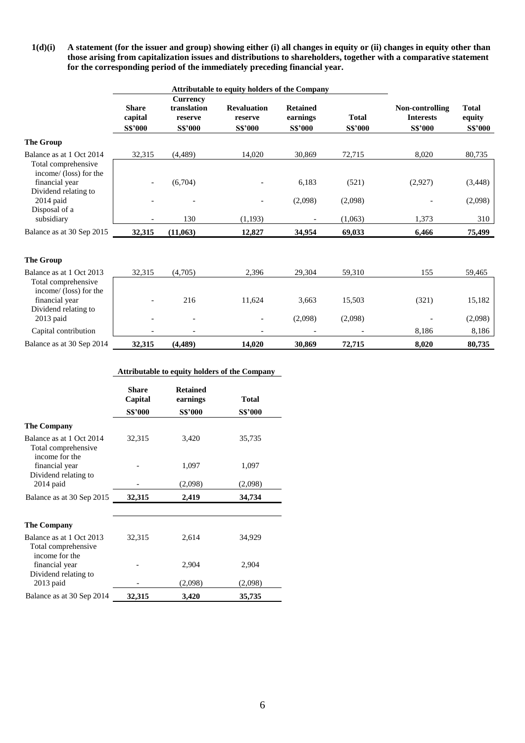**1(d)(i) A statement (for the issuer and group) showing either (i) all changes in equity or (ii) changes in equity other than those arising from capitalization issues and distributions to shareholders, together with a comparative statement for the corresponding period of the immediately preceding financial year.** 

|                                                                                         | Attributable to equity holders of the Company |                                                             |                                                 |                                               |                                |                                                       |                                          |
|-----------------------------------------------------------------------------------------|-----------------------------------------------|-------------------------------------------------------------|-------------------------------------------------|-----------------------------------------------|--------------------------------|-------------------------------------------------------|------------------------------------------|
|                                                                                         | <b>Share</b><br>capital<br><b>S\$'000</b>     | <b>Currency</b><br>translation<br>reserve<br><b>S\$'000</b> | <b>Revaluation</b><br>reserve<br><b>S\$'000</b> | <b>Retained</b><br>earnings<br><b>S\$'000</b> | <b>Total</b><br><b>S\$'000</b> | Non-controlling<br><b>Interests</b><br><b>S\$'000</b> | <b>Total</b><br>equity<br><b>S\$'000</b> |
| <b>The Group</b>                                                                        |                                               |                                                             |                                                 |                                               |                                |                                                       |                                          |
| Balance as at 1 Oct 2014                                                                | 32,315                                        | (4,489)                                                     | 14,020                                          | 30,869                                        | 72,715                         | 8,020                                                 | 80,735                                   |
| Total comprehensive<br>income/ (loss) for the<br>financial year<br>Dividend relating to |                                               | (6,704)                                                     |                                                 | 6,183                                         | (521)                          | (2,927)                                               | (3, 448)                                 |
| 2014 paid                                                                               |                                               |                                                             |                                                 | (2,098)                                       | (2,098)                        |                                                       | (2,098)                                  |
| Disposal of a<br>subsidiary                                                             |                                               | 130                                                         | (1,193)                                         |                                               | (1,063)                        | 1,373                                                 | 310                                      |
| Balance as at 30 Sep 2015                                                               | 32,315                                        | (11,063)                                                    | 12,827                                          | 34,954                                        | 69,033                         | 6,466                                                 | 75,499                                   |
| <b>The Group</b>                                                                        |                                               |                                                             |                                                 |                                               |                                |                                                       |                                          |
| Balance as at 1 Oct 2013                                                                | 32,315                                        | (4,705)                                                     | 2,396                                           | 29,304                                        | 59,310                         | 155                                                   | 59,465                                   |
| Total comprehensive<br>income/ (loss) for the<br>financial year<br>Dividend relating to |                                               | 216                                                         | 11,624                                          | 3,663                                         | 15,503                         | (321)                                                 | 15,182                                   |
| 2013 paid                                                                               |                                               |                                                             |                                                 | (2,098)                                       | (2,098)                        |                                                       | (2,098)                                  |
| Capital contribution                                                                    | $\overline{\phantom{a}}$                      |                                                             |                                                 | $\overline{\phantom{a}}$                      |                                | 8,186                                                 | 8,186                                    |
| Balance as at 30 Sep 2014                                                               | 32,315                                        | (4,489)                                                     | 14.020                                          | 30.869                                        | 72,715                         | 8,020                                                 | 80,735                                   |

|                                                                   |                         | <b>Attributable to equity holders of the Company</b> |              |
|-------------------------------------------------------------------|-------------------------|------------------------------------------------------|--------------|
|                                                                   | <b>Share</b><br>Capital | <b>Retained</b><br>earnings                          | <b>Total</b> |
|                                                                   | <b>S\$'000</b>          | <b>S\$'000</b>                                       | S\$'000      |
| <b>The Company</b>                                                |                         |                                                      |              |
| Balance as at 1 Oct 2014<br>Total comprehensive<br>income for the | 32,315                  | 3,420                                                | 35,735       |
| financial year<br>Dividend relating to                            |                         | 1,097                                                | 1,097        |
| $2014$ paid                                                       |                         | (2,098)                                              | (2,098)      |
| Balance as at 30 Sep 2015                                         | 32,315                  | 2,419                                                | 34,734       |
| <b>The Company</b>                                                |                         |                                                      |              |
| Balance as at 1 Oct 2013<br>Total comprehensive<br>income for the | 32,315                  | 2,614                                                | 34,929       |
| financial year<br>Dividend relating to                            |                         | 2,904                                                | 2,904        |
| $2013$ paid                                                       |                         | (2,098)                                              | (2,098)      |
| Balance as at 30 Sep 2014                                         | 32,315                  | 3,420                                                | 35,735       |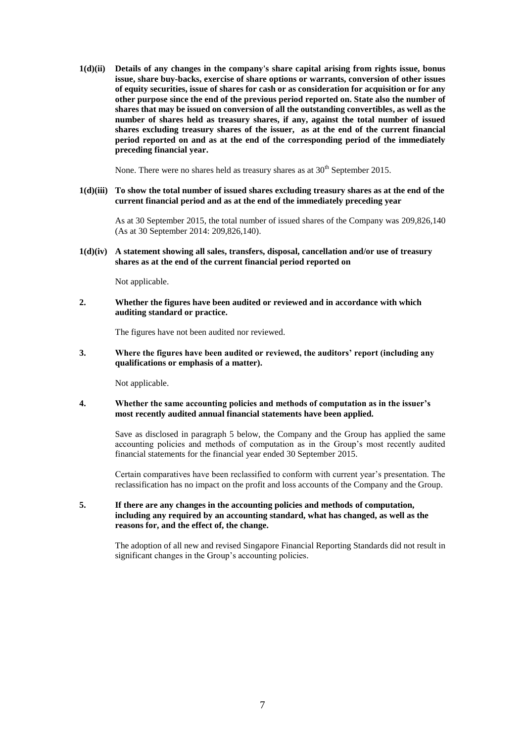**1(d)(ii) Details of any changes in the company's share capital arising from rights issue, bonus issue, share buy-backs, exercise of share options or warrants, conversion of other issues of equity securities, issue of shares for cash or as consideration for acquisition or for any other purpose since the end of the previous period reported on. State also the number of shares that may be issued on conversion of all the outstanding convertibles, as well as the number of shares held as treasury shares, if any, against the total number of issued shares excluding treasury shares of the issuer, as at the end of the current financial period reported on and as at the end of the corresponding period of the immediately preceding financial year.** 

None. There were no shares held as treasury shares as at  $30<sup>th</sup>$  September 2015.

### **1(d)(iii) To show the total number of issued shares excluding treasury shares as at the end of the current financial period and as at the end of the immediately preceding year**

As at 30 September 2015, the total number of issued shares of the Company was 209,826,140 (As at 30 September 2014: 209,826,140).

**1(d)(iv) A statement showing all sales, transfers, disposal, cancellation and/or use of treasury shares as at the end of the current financial period reported on**

Not applicable.

**2. Whether the figures have been audited or reviewed and in accordance with which auditing standard or practice.** 

The figures have not been audited nor reviewed.

**3. Where the figures have been audited or reviewed, the auditors' report (including any qualifications or emphasis of a matter).** 

Not applicable.

### **4. Whether the same accounting policies and methods of computation as in the issuer's most recently audited annual financial statements have been applied.**

Save as disclosed in paragraph 5 below, the Company and the Group has applied the same accounting policies and methods of computation as in the Group's most recently audited financial statements for the financial year ended 30 September 2015.

Certain comparatives have been reclassified to conform with current year's presentation. The reclassification has no impact on the profit and loss accounts of the Company and the Group.

**5. If there are any changes in the accounting policies and methods of computation, including any required by an accounting standard, what has changed, as well as the reasons for, and the effect of, the change.** 

The adoption of all new and revised Singapore Financial Reporting Standards did not result in significant changes in the Group's accounting policies.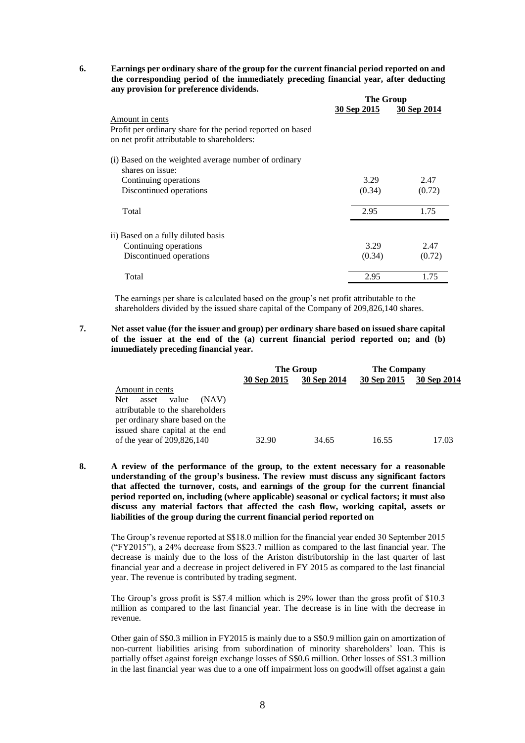**6. Earnings per ordinary share of the group for the current financial period reported on and the corresponding period of the immediately preceding financial year, after deducting any provision for preference dividends.** 

|                                                            | The Group   |             |  |
|------------------------------------------------------------|-------------|-------------|--|
|                                                            | 30 Sep 2015 | 30 Sep 2014 |  |
| Amount in cents                                            |             |             |  |
| Profit per ordinary share for the period reported on based |             |             |  |
| on net profit attributable to shareholders:                |             |             |  |
| (i) Based on the weighted average number of ordinary       |             |             |  |
| shares on issue:                                           |             |             |  |
| Continuing operations                                      | 3.29        | 2.47        |  |
| Discontinued operations                                    | (0.34)      | (0.72)      |  |
| Total                                                      | 2.95        | 1.75        |  |
| ii) Based on a fully diluted basis                         |             |             |  |
| Continuing operations                                      | 3.29        | 2.47        |  |
| Discontinued operations                                    | (0.34)      | (0.72)      |  |
| Total                                                      | 2.95        | 1.75        |  |

The earnings per share is calculated based on the group's net profit attributable to the shareholders divided by the issued share capital of the Company of 209,826,140 shares.

**7. Net asset value (for the issuer and group) per ordinary share based on issued share capital of the issuer at the end of the (a) current financial period reported on; and (b) immediately preceding financial year.** 

|                                                                                                                                           |             | The Group   | <b>The Company</b> |             |
|-------------------------------------------------------------------------------------------------------------------------------------------|-------------|-------------|--------------------|-------------|
|                                                                                                                                           | 30 Sep 2015 | 30 Sep 2014 | 30 Sep 2015        | 30 Sep 2014 |
| Amount in cents                                                                                                                           |             |             |                    |             |
| Net.<br>value<br>asset<br>(NAV)<br>attributable to the shareholders<br>per ordinary share based on the<br>issued share capital at the end |             |             |                    |             |
| of the year of 209,826,140                                                                                                                | 32.90       | 34.65       | 16.55              | 17.03       |

**8. A review of the performance of the group, to the extent necessary for a reasonable understanding of the group's business. The review must discuss any significant factors that affected the turnover, costs, and earnings of the group for the current financial period reported on, including (where applicable) seasonal or cyclical factors; it must also discuss any material factors that affected the cash flow, working capital, assets or liabilities of the group during the current financial period reported on**

The Group's revenue reported at S\$18.0 million for the financial year ended 30 September 2015 ("FY2015"), a 24% decrease from S\$23.7 million as compared to the last financial year. The decrease is mainly due to the loss of the Ariston distributorship in the last quarter of last financial year and a decrease in project delivered in FY 2015 as compared to the last financial year. The revenue is contributed by trading segment.

The Group's gross profit is S\$7.4 million which is 29% lower than the gross profit of \$10.3 million as compared to the last financial year. The decrease is in line with the decrease in revenue.

Other gain of S\$0.3 million in FY2015 is mainly due to a S\$0.9 million gain on amortization of non-current liabilities arising from subordination of minority shareholders' loan. This is partially offset against foreign exchange losses of S\$0.6 million. Other losses of S\$1.3 million in the last financial year was due to a one off impairment loss on goodwill offset against a gain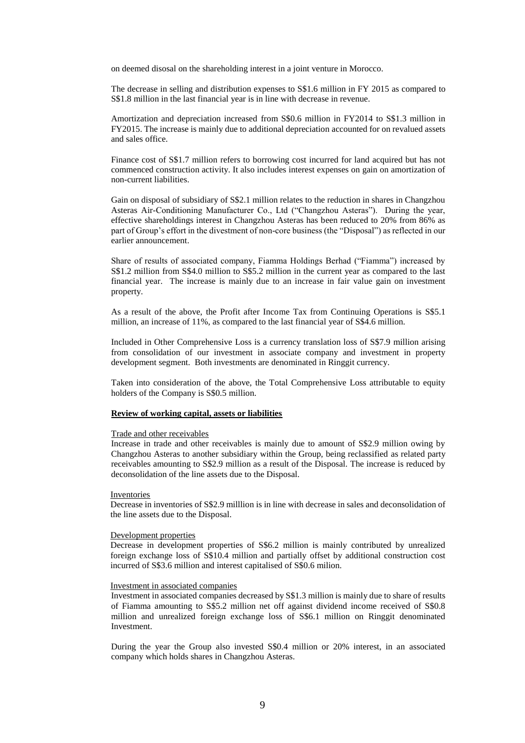on deemed disosal on the shareholding interest in a joint venture in Morocco.

The decrease in selling and distribution expenses to S\$1.6 million in FY 2015 as compared to S\$1.8 million in the last financial year is in line with decrease in revenue.

Amortization and depreciation increased from S\$0.6 million in FY2014 to S\$1.3 million in FY2015. The increase is mainly due to additional depreciation accounted for on revalued assets and sales office.

Finance cost of S\$1.7 million refers to borrowing cost incurred for land acquired but has not commenced construction activity. It also includes interest expenses on gain on amortization of non-current liabilities.

Gain on disposal of subsidiary of S\$2.1 million relates to the reduction in shares in Changzhou Asteras Air-Conditioning Manufacturer Co., Ltd ("Changzhou Asteras"). During the year, effective shareholdings interest in Changzhou Asteras has been reduced to 20% from 86% as part of Group's effort in the divestment of non-core business (the "Disposal") as reflected in our earlier announcement.

Share of results of associated company, Fiamma Holdings Berhad ("Fiamma") increased by S\$1.2 million from S\$4.0 million to S\$5.2 million in the current year as compared to the last financial year. The increase is mainly due to an increase in fair value gain on investment property.

As a result of the above, the Profit after Income Tax from Continuing Operations is S\$5.1 million, an increase of 11%, as compared to the last financial year of S\$4.6 million.

Included in Other Comprehensive Loss is a currency translation loss of S\$7.9 million arising from consolidation of our investment in associate company and investment in property development segment. Both investments are denominated in Ringgit currency.

Taken into consideration of the above, the Total Comprehensive Loss attributable to equity holders of the Company is S\$0.5 million.

#### **Review of working capital, assets or liabilities**

#### Trade and other receivables

Increase in trade and other receivables is mainly due to amount of S\$2.9 million owing by Changzhou Asteras to another subsidiary within the Group, being reclassified as related party receivables amounting to S\$2.9 million as a result of the Disposal. The increase is reduced by deconsolidation of the line assets due to the Disposal.

#### Inventories

Decrease in inventories of S\$2.9 milllion is in line with decrease in sales and deconsolidation of the line assets due to the Disposal.

#### Development properties

Decrease in development properties of S\$6.2 million is mainly contributed by unrealized foreign exchange loss of S\$10.4 million and partially offset by additional construction cost incurred of S\$3.6 million and interest capitalised of S\$0.6 milion.

#### Investment in associated companies

Investment in associated companies decreased by S\$1.3 million is mainly due to share of results of Fiamma amounting to S\$5.2 million net off against dividend income received of S\$0.8 million and unrealized foreign exchange loss of S\$6.1 million on Ringgit denominated Investment.

During the year the Group also invested S\$0.4 million or 20% interest, in an associated company which holds shares in Changzhou Asteras.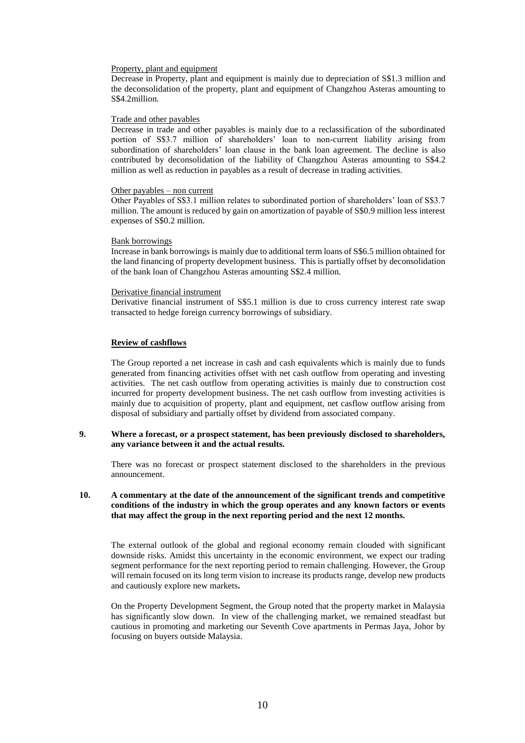#### Property, plant and equipment

Decrease in Property, plant and equipment is mainly due to depreciation of S\$1.3 million and the deconsolidation of the property, plant and equipment of Changzhou Asteras amounting to S\$4.2million.

#### Trade and other payables

Decrease in trade and other payables is mainly due to a reclassification of the subordinated portion of S\$3.7 million of shareholders' loan to non-current liability arising from subordination of shareholders' loan clause in the bank loan agreement. The decline is also contributed by deconsolidation of the liability of Changzhou Asteras amounting to S\$4.2 million as well as reduction in payables as a result of decrease in trading activities.

### Other payables – non current

Other Payables of S\$3.1 million relates to subordinated portion of shareholders' loan of S\$3.7 million. The amount is reduced by gain on amortization of payable of S\$0.9 million less interest expenses of S\$0.2 million.

#### Bank borrowings

Increase in bank borrowings is mainly due to additional term loans of S\$6.5 million obtained for the land financing of property development business. This is partially offset by deconsolidation of the bank loan of Changzhou Asteras amounting S\$2.4 million.

#### Derivative financial instrument

Derivative financial instrument of S\$5.1 million is due to cross currency interest rate swap transacted to hedge foreign currency borrowings of subsidiary.

### **Review of cashflows**

The Group reported a net increase in cash and cash equivalents which is mainly due to funds generated from financing activities offset with net cash outflow from operating and investing activities. The net cash outflow from operating activities is mainly due to construction cost incurred for property development business. The net cash outflow from investing activities is mainly due to acquisition of property, plant and equipment, net casflow outflow arising from disposal of subsidiary and partially offset by dividend from associated company.

### **9. Where a forecast, or a prospect statement, has been previously disclosed to shareholders, any variance between it and the actual results.**

There was no forecast or prospect statement disclosed to the shareholders in the previous announcement.

### **10. A commentary at the date of the announcement of the significant trends and competitive conditions of the industry in which the group operates and any known factors or events that may affect the group in the next reporting period and the next 12 months.**

The external outlook of the global and regional economy remain clouded with significant downside risks. Amidst this uncertainty in the economic environment, we expect our trading segment performance for the next reporting period to remain challenging. However, the Group will remain focused on its long term vision to increase its products range, develop new products and cautiously explore new markets**.**

On the Property Development Segment, the Group noted that the property market in Malaysia has significantly slow down. In view of the challenging market, we remained steadfast but cautious in promoting and marketing our Seventh Cove apartments in Permas Jaya, Johor by focusing on buyers outside Malaysia.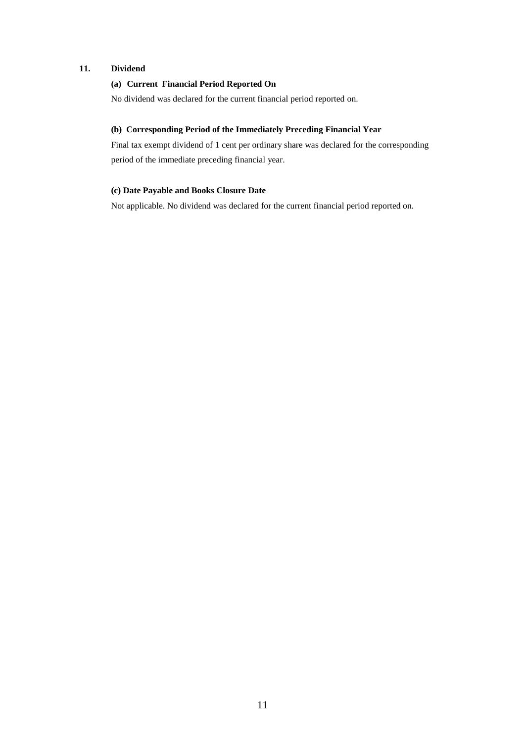## **11. Dividend**

## **(a) Current Financial Period Reported On**

No dividend was declared for the current financial period reported on.

## **(b) Corresponding Period of the Immediately Preceding Financial Year**

Final tax exempt dividend of 1 cent per ordinary share was declared for the corresponding period of the immediate preceding financial year.

## **(c) Date Payable and Books Closure Date**

Not applicable. No dividend was declared for the current financial period reported on.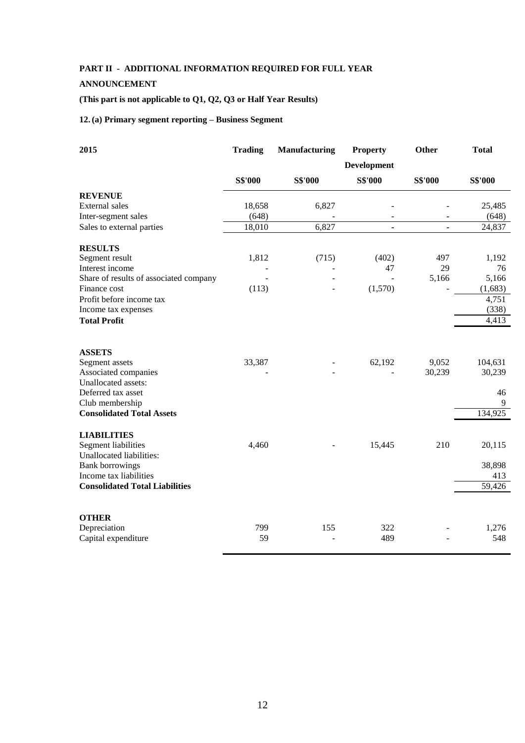# **PART II - ADDITIONAL INFORMATION REQUIRED FOR FULL YEAR**

# **ANNOUNCEMENT**

# **(This part is not applicable to Q1, Q2, Q3 or Half Year Results)**

# **12.(a) Primary segment reporting – Business Segment**

| 2015                                        | <b>Trading</b> | <b>Manufacturing</b> | <b>Property</b>          | Other                        | <b>Total</b> |  |
|---------------------------------------------|----------------|----------------------|--------------------------|------------------------------|--------------|--|
|                                             | Development    |                      |                          |                              |              |  |
|                                             | <b>S\$'000</b> | <b>S\$'000</b>       | <b>S\$'000</b>           | <b>S\$'000</b>               | S\$'000      |  |
| <b>REVENUE</b>                              |                |                      |                          |                              |              |  |
| External sales                              | 18,658         | 6,827                |                          |                              | 25,485       |  |
| Inter-segment sales                         | (648)          |                      | $\overline{\phantom{a}}$ | -                            | (648)        |  |
| Sales to external parties                   | 18,010         | 6,827                | $\blacksquare$           | $\qquad \qquad \blacksquare$ | 24,837       |  |
| <b>RESULTS</b>                              |                |                      |                          |                              |              |  |
| Segment result                              | 1,812          | (715)                | (402)                    | 497                          | 1,192        |  |
| Interest income                             |                |                      | 47                       | 29                           | 76           |  |
| Share of results of associated company      |                |                      |                          | 5,166                        | 5,166        |  |
| Finance cost                                | (113)          |                      | (1,570)                  |                              | (1,683)      |  |
| Profit before income tax                    |                |                      |                          |                              | 4,751        |  |
| Income tax expenses                         |                |                      |                          |                              | (338)        |  |
| <b>Total Profit</b>                         |                |                      |                          |                              | 4,413        |  |
|                                             |                |                      |                          |                              |              |  |
| <b>ASSETS</b>                               |                |                      |                          |                              |              |  |
| Segment assets                              | 33,387         |                      | 62,192                   | 9,052<br>30,239              | 104,631      |  |
| Associated companies<br>Unallocated assets: |                |                      |                          |                              | 30,239       |  |
| Deferred tax asset                          |                |                      |                          |                              | 46           |  |
| Club membership                             |                |                      |                          |                              | 9            |  |
| <b>Consolidated Total Assets</b>            |                |                      |                          |                              | 134,925      |  |
|                                             |                |                      |                          |                              |              |  |
| <b>LIABILITIES</b>                          |                |                      |                          |                              |              |  |
| <b>Segment liabilities</b>                  | 4,460          |                      | 15,445                   | 210                          | 20,115       |  |
| Unallocated liabilities:                    |                |                      |                          |                              |              |  |
| <b>Bank borrowings</b>                      |                |                      |                          |                              | 38,898       |  |
| Income tax liabilities                      |                |                      |                          |                              | 413          |  |
| <b>Consolidated Total Liabilities</b>       |                |                      |                          |                              | 59,426       |  |
| <b>OTHER</b>                                |                |                      |                          |                              |              |  |
| Depreciation                                | 799            | 155                  | 322                      |                              | 1,276        |  |
| Capital expenditure                         | 59             |                      | 489                      |                              | 548          |  |
|                                             |                |                      |                          |                              |              |  |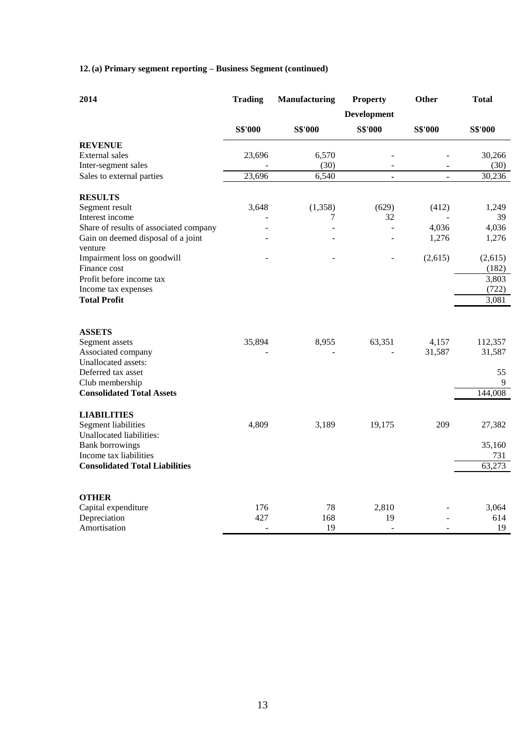# **12.(a) Primary segment reporting – Business Segment (continued)**

| 2014                                            | <b>Trading</b> | Manufacturing  | <b>Property</b>          | Other          | <b>Total</b>   |
|-------------------------------------------------|----------------|----------------|--------------------------|----------------|----------------|
|                                                 |                |                | <b>Development</b>       |                |                |
|                                                 | <b>S\$'000</b> | <b>S\$'000</b> | <b>S\$'000</b>           | <b>S\$'000</b> | <b>S\$'000</b> |
| <b>REVENUE</b>                                  |                |                |                          |                |                |
| External sales                                  | 23,696         | 6,570          |                          |                | 30,266         |
| Inter-segment sales                             |                | (30)           | $\overline{a}$           | ÷,             | (30)           |
| Sales to external parties                       | 23,696         | 6,540          | $\blacksquare$           | $\blacksquare$ | 30,236         |
| <b>RESULTS</b>                                  |                |                |                          |                |                |
| Segment result                                  | 3,648          | (1,358)        | (629)                    | (412)          | 1,249          |
| Interest income                                 |                | 7              | 32                       |                | 39             |
| Share of results of associated company          |                |                | $\overline{a}$           | 4,036          | 4,036          |
| Gain on deemed disposal of a joint              |                |                |                          | 1,276          | 1,276          |
| venture                                         |                |                |                          |                |                |
| Impairment loss on goodwill                     |                |                |                          | (2,615)        | (2,615)        |
| Finance cost                                    |                |                |                          |                | (182)          |
| Profit before income tax<br>Income tax expenses |                |                |                          |                | 3,803<br>(722) |
| <b>Total Profit</b>                             |                |                |                          |                | 3,081          |
|                                                 |                |                |                          |                |                |
| <b>ASSETS</b>                                   |                |                |                          |                |                |
| Segment assets                                  | 35,894         | 8,955          | 63,351                   | 4,157          | 112,357        |
| Associated company                              |                |                |                          | 31,587         | 31,587         |
| Unallocated assets:                             |                |                |                          |                |                |
| Deferred tax asset                              |                |                |                          |                | 55             |
| Club membership                                 |                |                |                          |                | 9              |
| <b>Consolidated Total Assets</b>                |                |                |                          |                | 144,008        |
| <b>LIABILITIES</b>                              |                |                |                          |                |                |
| Segment liabilities                             | 4,809          | 3,189          | 19,175                   | 209            | 27,382         |
| Unallocated liabilities:                        |                |                |                          |                |                |
| <b>Bank borrowings</b>                          |                |                |                          |                | 35,160         |
| Income tax liabilities                          |                |                |                          |                | 731            |
| <b>Consolidated Total Liabilities</b>           |                |                |                          |                | 63,273         |
|                                                 |                |                |                          |                |                |
| <b>OTHER</b>                                    | 176            | 78             | 2,810                    |                |                |
| Capital expenditure<br>Depreciation             | 427            | 168            | 19                       |                | 3,064<br>614   |
| Amortisation                                    | $\overline{a}$ | 19             | $\overline{\phantom{a}}$ |                | 19             |
|                                                 |                |                |                          |                |                |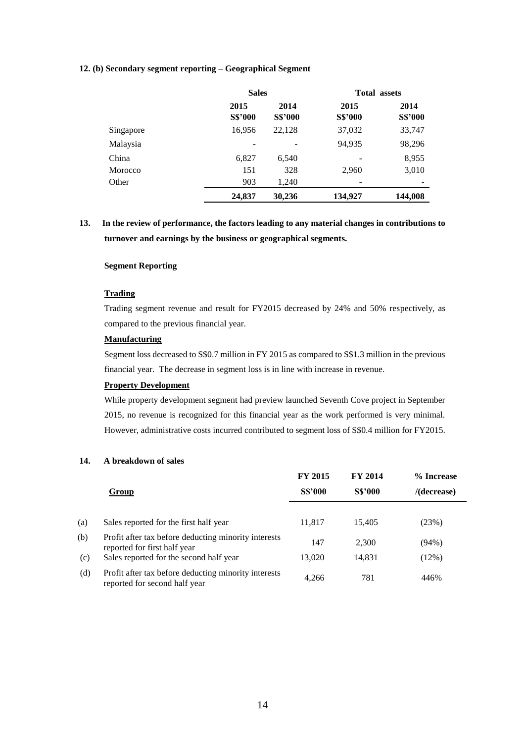### **12. (b) Secondary segment reporting – Geographical Segment**

|           |                        | <b>Sales</b>           |                        | <b>Total assets</b>    |
|-----------|------------------------|------------------------|------------------------|------------------------|
|           | 2015<br><b>S\$'000</b> | 2014<br><b>S\$'000</b> | 2015<br><b>S\$'000</b> | 2014<br><b>S\$'000</b> |
| Singapore | 16,956                 | 22,128                 | 37,032                 | 33,747                 |
| Malaysia  |                        |                        | 94,935                 | 98,296                 |
| China     | 6,827                  | 6,540                  |                        | 8,955                  |
| Morocco   | 151                    | 328                    | 2,960                  | 3,010                  |
| Other     | 903                    | 1,240                  |                        |                        |
|           | 24,837                 | 30,236                 | 134,927                | 144,008                |

# **13. In the review of performance, the factors leading to any material changes in contributions to turnover and earnings by the business or geographical segments.**

### **Segment Reporting**

## **Trading**

Trading segment revenue and result for FY2015 decreased by 24% and 50% respectively, as compared to the previous financial year.

### **Manufacturing**

Segment loss decreased to S\$0.7 million in FY 2015 as compared to S\$1.3 million in the previous financial year. The decrease in segment loss is in line with increase in revenue.

## **Property Development**

While property development segment had preview launched Seventh Cove project in September 2015, no revenue is recognized for this financial year as the work performed is very minimal. However, administrative costs incurred contributed to segment loss of S\$0.4 million for FY2015.

### **14. A breakdown of sales**

|     |                                                                                       | <b>FY 2015</b> | <b>FY 2014</b> | % Increase     |
|-----|---------------------------------------------------------------------------------------|----------------|----------------|----------------|
|     | Group                                                                                 | <b>S\$'000</b> | <b>S\$'000</b> | $/$ (decrease) |
|     |                                                                                       |                |                |                |
| (a) | Sales reported for the first half year                                                | 11,817         | 15,405         | (23%)          |
| (b) | Profit after tax before deducting minority interests<br>reported for first half year  | 147            | 2,300          | $(94\%)$       |
| (c) | Sales reported for the second half year                                               | 13.020         | 14.831         | (12%)          |
| (d) | Profit after tax before deducting minority interests<br>reported for second half year | 4,266          | 781            | 446%           |